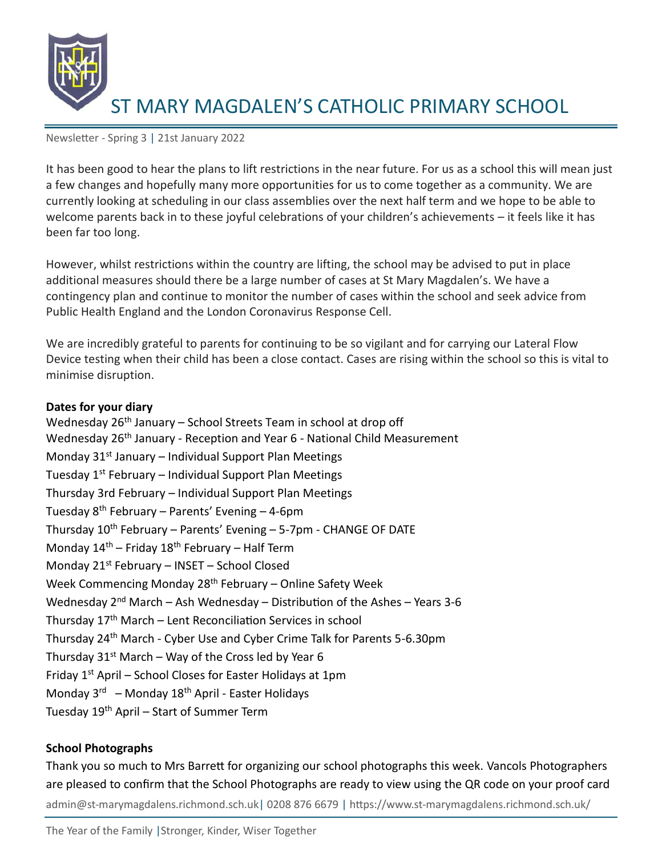

Newsletter - Spring 3 | 21st January 2022

It has been good to hear the plans to lift restrictions in the near future. For us as a school this will mean just a few changes and hopefully many more opportunities for us to come together as a community. We are currently looking at scheduling in our class assemblies over the next half term and we hope to be able to welcome parents back in to these joyful celebrations of your children's achievements – it feels like it has been far too long.

However, whilst restrictions within the country are lifting, the school may be advised to put in place additional measures should there be a large number of cases at St Mary Magdalen's. We have a contingency plan and continue to monitor the number of cases within the school and seek advice from Public Health England and the London Coronavirus Response Cell.

We are incredibly grateful to parents for continuing to be so vigilant and for carrying our Lateral Flow Device testing when their child has been a close contact. Cases are rising within the school so this is vital to minimise disruption.

### **Dates for your diary**

Wednesday 26<sup>th</sup> January – School Streets Team in school at drop off Wednesday 26<sup>th</sup> January - Reception and Year 6 - National Child Measurement Monday  $31<sup>st</sup>$  January – Individual Support Plan Meetings Tuesday  $1^{st}$  February – Individual Support Plan Meetings Thursday 3rd February – Individual Support Plan Meetings Tuesday  $8<sup>th</sup>$  February – Parents' Evening – 4-6pm Thursday  $10^{th}$  February – Parents' Evening – 5-7pm - CHANGE OF DATE Monday  $14^{th}$  – Friday  $18^{th}$  February – Half Term Monday 21<sup>st</sup> February – INSET – School Closed Week Commencing Monday 28<sup>th</sup> February – Online Safety Week Wednesday 2<sup>nd</sup> March – Ash Wednesday – Distribution of the Ashes – Years 3-6 Thursday 17th March – Lent Reconciliation Services in school Thursday 24th March - Cyber Use and Cyber Crime Talk for Parents 5-6.30pm Thursday  $31^{st}$  March – Way of the Cross led by Year 6 Friday 1<sup>st</sup> April - School Closes for Easter Holidays at 1pm Monday 3<sup>rd</sup> – Monday 18<sup>th</sup> April - Easter Holidays Tuesday 19th April – Start of Summer Term

### **School Photographs**

admin@st-marymagdalens.richmond.sch.uk| 0208 876 6679 | https://www.st-marymagdalens.richmond.sch.uk/ Thank you so much to Mrs Barrett for organizing our school photographs this week. Vancols Photographers are pleased to confirm that the School Photographs are ready to view using the QR code on your proof card